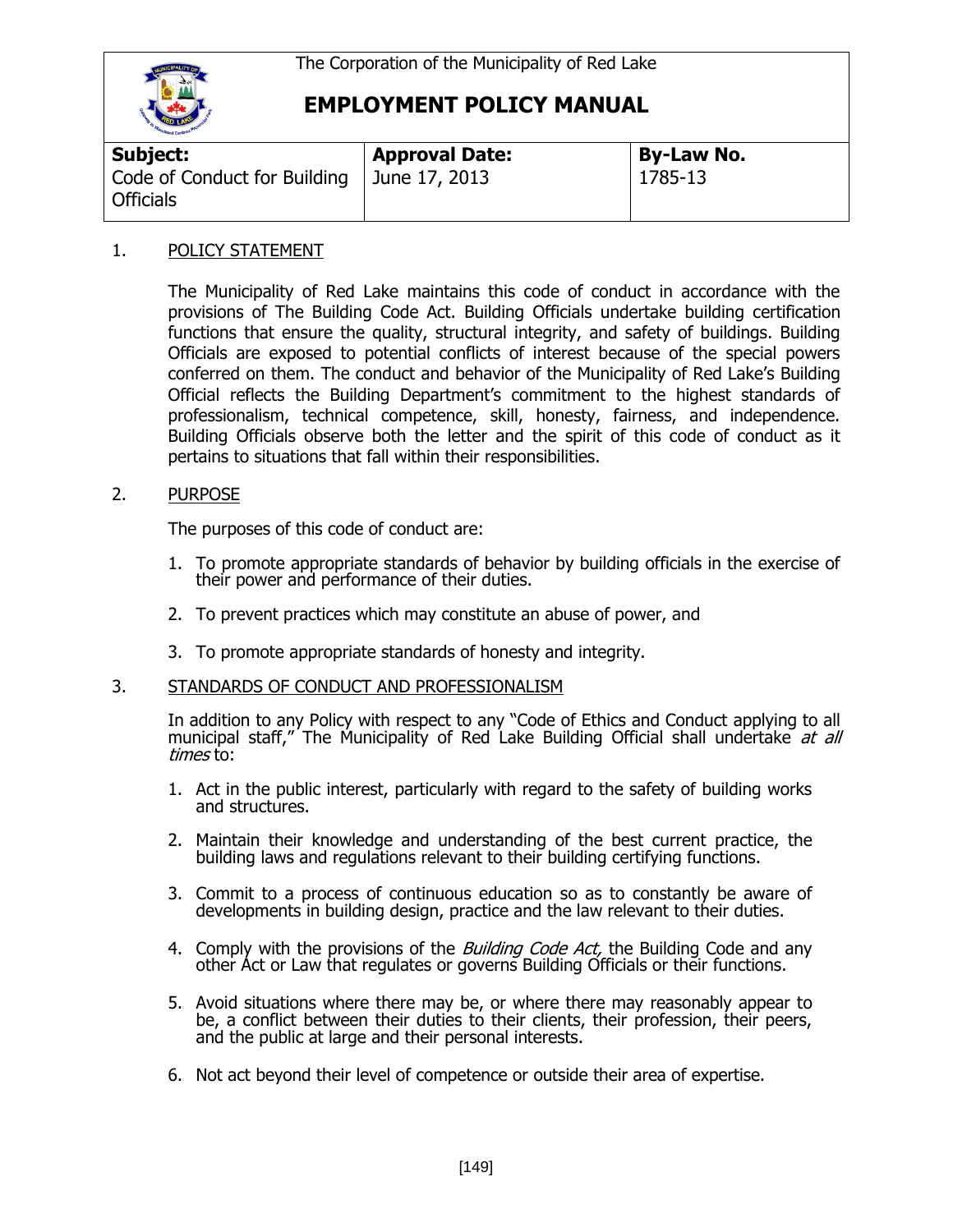

# **EMPLOYMENT POLICY MANUAL**

| <b>Subject:</b>                                  | <b>Approval Date:</b> | <b>By-Law No.</b> |
|--------------------------------------------------|-----------------------|-------------------|
| Code of Conduct for Building<br><b>Officials</b> | June 17, 2013         | 1785-13           |

### 1. POLICY STATEMENT

The Municipality of Red Lake maintains this code of conduct in accordance with the provisions of The Building Code Act. Building Officials undertake building certification functions that ensure the quality, structural integrity, and safety of buildings. Building Officials are exposed to potential conflicts of interest because of the special powers conferred on them. The conduct and behavior of the Municipality of Red Lake's Building Official reflects the Building Department's commitment to the highest standards of professionalism, technical competence, skill, honesty, fairness, and independence. Building Officials observe both the letter and the spirit of this code of conduct as it pertains to situations that fall within their responsibilities.

### 2. PURPOSE

The purposes of this code of conduct are:

- 1. To promote appropriate standards of behavior by building officials in the exercise of their power and performance of their duties.
- 2. To prevent practices which may constitute an abuse of power, and
- 3. To promote appropriate standards of honesty and integrity.

#### 3. STANDARDS OF CONDUCT AND PROFESSIONALISM

In addition to any Policy with respect to any "Code of Ethics and Conduct applying to all municipal staff," The Municipality of Red Lake Building Official shall undertake at all times to:

- 1. Act in the public interest, particularly with regard to the safety of building works and structures.
- 2. Maintain their knowledge and understanding of the best current practice, the building laws and regulations relevant to their building certifying functions.
- 3. Commit to a process of continuous education so as to constantly be aware of developments in building design, practice and the law relevant to their duties.
- 4. Comply with the provisions of the *Building Code Act*, the Building Code and any other Act or Law that regulates or governs Building Officials or their functions.
- 5. Avoid situations where there may be, or where there may reasonably appear to be, a conflict between their duties to their clients, their profession, their peers, and the public at large and their personal interests.
- 6. Not act beyond their level of competence or outside their area of expertise.